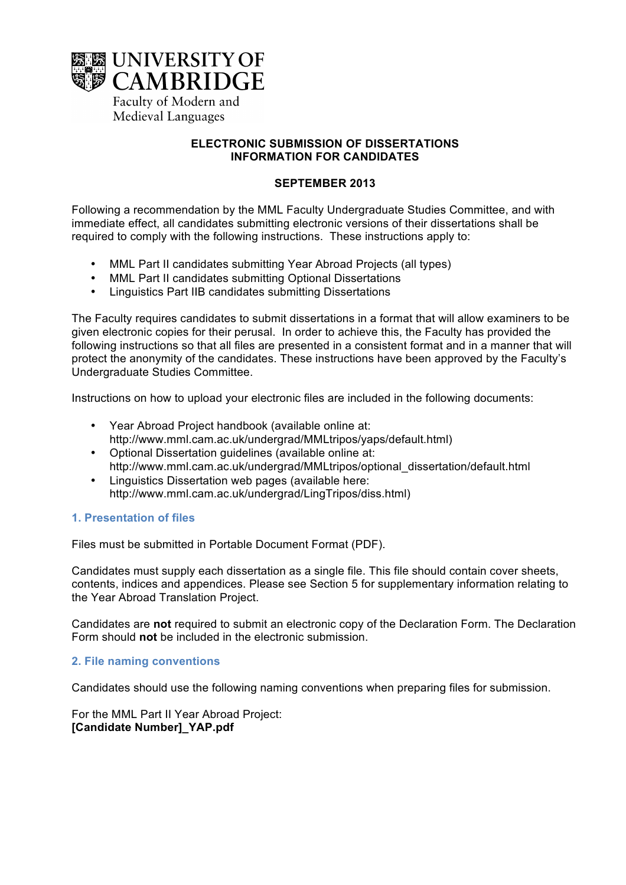

# **ELECTRONIC SUBMISSION OF DISSERTATIONS INFORMATION FOR CANDIDATES**

## **SEPTEMBER 2013**

Following a recommendation by the MML Faculty Undergraduate Studies Committee, and with immediate effect, all candidates submitting electronic versions of their dissertations shall be required to comply with the following instructions. These instructions apply to:

- MML Part II candidates submitting Year Abroad Projects (all types)
- MML Part II candidates submitting Optional Dissertations
- Linguistics Part IIB candidates submitting Dissertations

The Faculty requires candidates to submit dissertations in a format that will allow examiners to be given electronic copies for their perusal. In order to achieve this, the Faculty has provided the following instructions so that all files are presented in a consistent format and in a manner that will protect the anonymity of the candidates. These instructions have been approved by the Faculty's Undergraduate Studies Committee.

Instructions on how to upload your electronic files are included in the following documents:

- Year Abroad Project handbook (available online at: http://www.mml.cam.ac.uk/undergrad/MMLtripos/yaps/default.html)
- Optional Dissertation guidelines (available online at: http://www.mml.cam.ac.uk/undergrad/MMLtripos/optional\_dissertation/default.html
- Linguistics Dissertation web pages (available here: http://www.mml.cam.ac.uk/undergrad/LingTripos/diss.html)

# **1. Presentation of files**

Files must be submitted in Portable Document Format (PDF).

Candidates must supply each dissertation as a single file. This file should contain cover sheets, contents, indices and appendices. Please see Section 5 for supplementary information relating to the Year Abroad Translation Project.

Candidates are **not** required to submit an electronic copy of the Declaration Form. The Declaration Form should **not** be included in the electronic submission.

# **2. File naming conventions**

Candidates should use the following naming conventions when preparing files for submission.

For the MML Part II Year Abroad Project: **[Candidate Number]\_YAP.pdf**